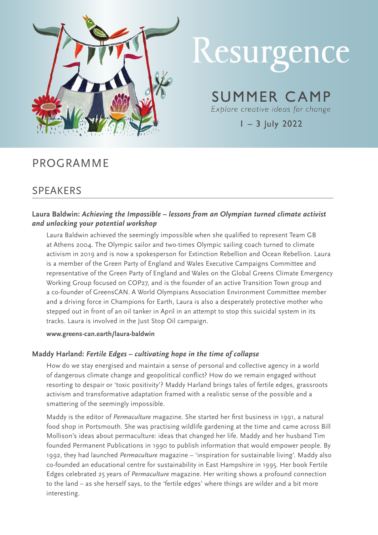

# Resurgence

**SUMMER CAMP** 

Explore creative ideas for change

 $I - 3$  July 2022

# PROGRAMME

# SPEAKERS

## **Laura Baldwin:** *Achieving the Impossible – lessons from an Olympian turned climate activist and unlocking your potential workshop*

Laura Baldwin achieved the seemingly impossible when she qualified to represent Team GB at Athens 2004. The Olympic sailor and two-times Olympic sailing coach turned to climate activism in 2019 and is now a spokesperson for Extinction Rebellion and Ocean Rebellion. Laura is a member of the Green Party of England and Wales Executive Campaigns Committee and representative of the Green Party of England and Wales on the Global Greens Climate Emergency Working Group focused on COP27, and is the founder of an active Transition Town group and a co-founder of GreensCAN. A World Olympians Association Environment Committee member and a driving force in Champions for Earth, Laura is also a desperately protective mother who stepped out in front of an oil tanker in April in an attempt to stop this suicidal system in its tracks. Laura is involved in the Just Stop Oil campaign.

**www.greens-can.earth/laura-baldwin**

## **Maddy Harland:** *Fertile Edges – cultivating hope in the time of collapse*

How do we stay energised and maintain a sense of personal and collective agency in a world of dangerous climate change and geopolitical conflict? How do we remain engaged without resorting to despair or 'toxic positivity'? Maddy Harland brings tales of fertile edges, grassroots activism and transformative adaptation framed with a realistic sense of the possible and a smattering of the seemingly impossible.

Maddy is the editor of *Permaculture* magazine. She started her first business in 1991, a natural food shop in Portsmouth. She was practising wildlife gardening at the time and came across Bill Mollison's ideas about permaculture: ideas that changed her life. Maddy and her husband Tim founded Permanent Publications in 1990 to publish information that would empower people. By 1992, they had launched *Permaculture* magazine – 'inspiration for sustainable living'. Maddy also co-founded an educational centre for sustainability in East Hampshire in 1995. Her book Fertile Edges celebrated 25 years of *Permaculture* magazine. Her writing shows a profound connection to the land – as she herself says, to the 'fertile edges' where things are wilder and a bit more interesting.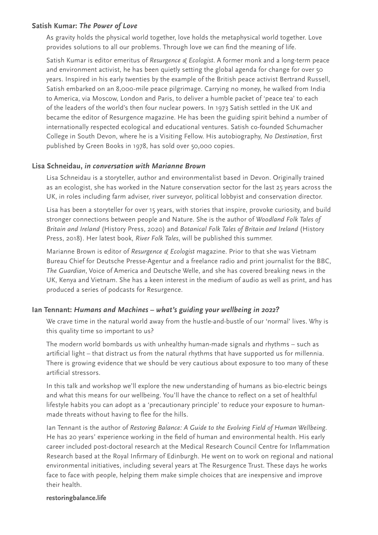#### **Satish Kumar:** *The Power of Love*

As gravity holds the physical world together, love holds the metaphysical world together. Love provides solutions to all our problems. Through love we can find the meaning of life.

Satish Kumar is editor emeritus of *Resurgence & Ecologist*. A former monk and a long-term peace and environment activist, he has been quietly setting the global agenda for change for over 50 years. Inspired in his early twenties by the example of the British peace activist Bertrand Russell, Satish embarked on an 8,000-mile peace pilgrimage. Carrying no money, he walked from India to America, via Moscow, London and Paris, to deliver a humble packet of 'peace tea' to each of the leaders of the world's then four nuclear powers. In 1973 Satish settled in the UK and became the editor of Resurgence magazine. He has been the guiding spirit behind a number of internationally respected ecological and educational ventures. Satish co-founded Schumacher College in South Devon, where he is a Visiting Fellow. His autobiography, *No Destination*, first published by Green Books in 1978, has sold over 50,000 copies.

#### **Lisa Schneidau,** *in conversation with Marianne Brown*

Lisa Schneidau is a storyteller, author and environmentalist based in Devon. Originally trained as an ecologist, she has worked in the Nature conservation sector for the last 25 years across the UK, in roles including farm adviser, river surveyor, political lobbyist and conservation director.

Lisa has been a storyteller for over 15 years, with stories that inspire, provoke curiosity, and build stronger connections between people and Nature. She is the author of *Woodland Folk Tales of Britain and Ireland* (History Press, 2020) and *Botanical Folk Tales of Britain and Ireland* (History Press, 2018). Her latest book, *River Folk Tales*, will be published this summer.

Marianne Brown is editor of *Resurgence & Ecologist* magazine. Prior to that she was Vietnam Bureau Chief for Deutsche Presse-Agentur and a freelance radio and print journalist for the BBC, *The Guardian*, Voice of America and Deutsche Welle, and she has covered breaking news in the UK, Kenya and Vietnam. She has a keen interest in the medium of audio as well as print, and has produced a series of podcasts for Resurgence.

#### **Ian Tennant:** *Humans and Machines – what's guiding your wellbeing in 2022?*

We crave time in the natural world away from the hustle-and-bustle of our 'normal' lives. Why is this quality time so important to us?

The modern world bombards us with unhealthy human-made signals and rhythms – such as artificial light – that distract us from the natural rhythms that have supported us for millennia. There is growing evidence that we should be very cautious about exposure to too many of these artificial stressors.

In this talk and workshop we'll explore the new understanding of humans as bio-electric beings and what this means for our wellbeing. You'll have the chance to reflect on a set of healthful lifestyle habits you can adopt as a 'precautionary principle' to reduce your exposure to humanmade threats without having to flee for the hills.

Ian Tennant is the author of *Restoring Balance: A Guide to the Evolving Field of Human Wellbeing*. He has 20 years' experience working in the field of human and environmental health. His early career included post-doctoral research at the Medical Research Council Centre for Inflammation Research based at the Royal Infirmary of Edinburgh. He went on to work on regional and national environmental initiatives, including several years at The Resurgence Trust. These days he works face to face with people, helping them make simple choices that are inexpensive and improve their health.

#### **restoringbalance.life**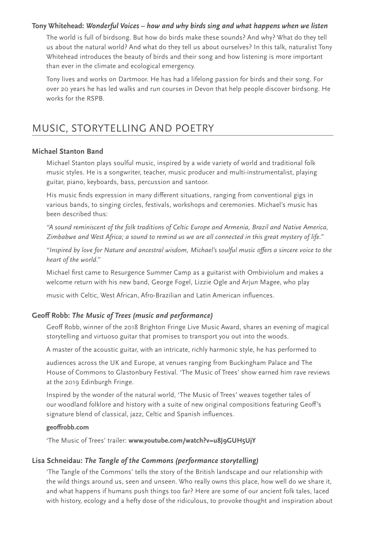#### **Tony Whitehead:** *Wonderful Voices – how and why birds sing and what happens when we listen*

The world is full of birdsong. But how do birds make these sounds? And why? What do they tell us about the natural world? And what do they tell us about ourselves? In this talk, naturalist Tony Whitehead introduces the beauty of birds and their song and how listening is more important than ever in the climate and ecological emergency.

Tony lives and works on Dartmoor. He has had a lifelong passion for birds and their song. For over 20 years he has led walks and run courses in Devon that help people discover birdsong. He works for the RSPB.

## MUSIC, STORYTELLING AND POETRY

#### **Michael Stanton Band**

Michael Stanton plays soulful music, inspired by a wide variety of world and traditional folk music styles. He is a songwriter, teacher, music producer and multi-instrumentalist, playing guitar, piano, keyboards, bass, percussion and santoor.

His music finds expression in many different situations, ranging from conventional gigs in various bands, to singing circles, festivals, workshops and ceremonies. Michael's music has been described thus:

*"A sound reminiscent of the folk traditions of Celtic Europe and Armenia, Brazil and Native America, Zimbabwe and West Africa; a sound to remind us we are all connected in this great mystery of life."*

*"Inspired by love for Nature and ancestral wisdom, Michael's soulful music offers a sincere voice to the heart of the world."*

Michael first came to Resurgence Summer Camp as a guitarist with Ombiviolum and makes a welcome return with his new band, George Fogel, Lizzie Ogle and Arjun Magee, who play

music with Celtic, West African, Afro-Brazilian and Latin American influences.

#### **Geoff Robb:** *The Music of Trees (music and performance)*

Geoff Robb, winner of the 2018 Brighton Fringe Live Music Award, shares an evening of magical storytelling and virtuoso guitar that promises to transport you out into the woods.

A master of the acoustic guitar, with an intricate, richly harmonic style, he has performed to

audiences across the UK and Europe, at venues ranging from Buckingham Palace and The House of Commons to Glastonbury Festival. 'The Music of Trees' show earned him rave reviews at the 2019 Edinburgh Fringe.

Inspired by the wonder of the natural world, 'The Music of Trees' weaves together tales of our woodland folklore and history with a suite of new original compositions featuring Geoff's signature blend of classical, jazz, Celtic and Spanish influences.

#### **geoffrobb.com**

'The Music of Trees' trailer: **www.youtube.com/watch?v=u8J9GUH5UjY**

#### **Lisa Schneidau:** *The Tangle of the Commons (performance storytelling)*

'The Tangle of the Commons' tells the story of the British landscape and our relationship with the wild things around us, seen and unseen. Who really owns this place, how well do we share it, and what happens if humans push things too far? Here are some of our ancient folk tales, laced with history, ecology and a hefty dose of the ridiculous, to provoke thought and inspiration about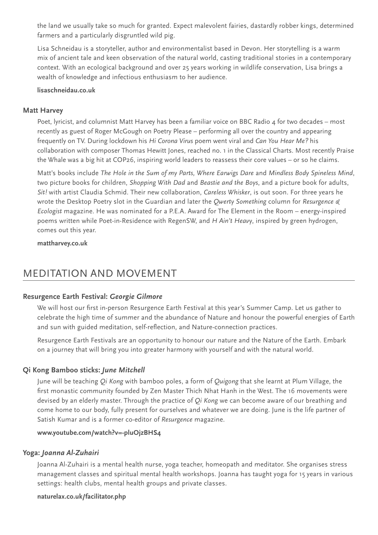the land we usually take so much for granted. Expect malevolent fairies, dastardly robber kings, determined farmers and a particularly disgruntled wild pig.

Lisa Schneidau is a storyteller, author and environmentalist based in Devon. Her storytelling is a warm mix of ancient tale and keen observation of the natural world, casting traditional stories in a contemporary context. With an ecological background and over 25 years working in wildlife conservation, Lisa brings a wealth of knowledge and infectious enthusiasm to her audience.

#### **lisaschneidau.co.uk**

#### **Matt Harvey**

Poet, lyricist, and columnist Matt Harvey has been a familiar voice on BBC Radio 4 for two decades - most recently as guest of Roger McGough on Poetry Please – performing all over the country and appearing frequently on TV. During lockdown his *Hi Corona Virus* poem went viral and *Can You Hear Me?* his collaboration with composer Thomas Hewitt Jones, reached no. 1 in the Classical Charts. Most recently Praise the Whale was a big hit at COP26, inspiring world leaders to reassess their core values – or so he claims.

Matt's books include *The Hole in the Sum of my Parts, Where Earwigs Dare* and *Mindless Body Spineless Mind*, two picture books for children, *Shopping With Dad* and *Beastie and the Boys*, and a picture book for adults, *Sit!* with artist Claudia Schmid. Their new collaboration, *Careless Whisker*, is out soon. For three years he wrote the Desktop Poetry slot in the Guardian and later the *Qwerty Something* column for *Resurgence & Ecologist* magazine. He was nominated for a P.E.A. Award for The Element in the Room – energy-inspired poems written while Poet-in-Residence with RegenSW, and *H Ain't Heavy*, inspired by green hydrogen, comes out this year.

**mattharvey.co.uk**

## MEDITATION AND MOVEMENT

#### **Resurgence Earth Festival:** *Georgie Gilmore*

We will host our first in-person Resurgence Earth Festival at this year's Summer Camp. Let us gather to celebrate the high time of summer and the abundance of Nature and honour the powerful energies of Earth and sun with guided meditation, self-reflection, and Nature-connection practices.

Resurgence Earth Festivals are an opportunity to honour our nature and the Nature of the Earth. Embark on a journey that will bring you into greater harmony with yourself and with the natural world.

#### **Qi Kong Bamboo sticks:** *June Mitchell*

June will be teaching *Qi Kong* with bamboo poles, a form of *Quigong* that she learnt at Plum Village, the first monastic community founded by Zen Master Thich Nhat Hanh in the West. The 16 movements were devised by an elderly master. Through the practice of *Qi Kong* we can become aware of our breathing and come home to our body, fully present for ourselves and whatever we are doing. June is the life partner of Satish Kumar and is a former co-editor of *Resurgence* magazine.

#### **www.youtube.com/watch?v=-pluOjzBHS4**

#### **Yoga:** *Joanna Al-Zuhairi*

Joanna Al-Zuhairi is a mental health nurse, yoga teacher, homeopath and meditator. She organises stress management classes and spiritual mental health workshops. Joanna has taught yoga for 15 years in various settings: health clubs, mental health groups and private classes.

#### **naturelax.co.uk/facilitator.php**